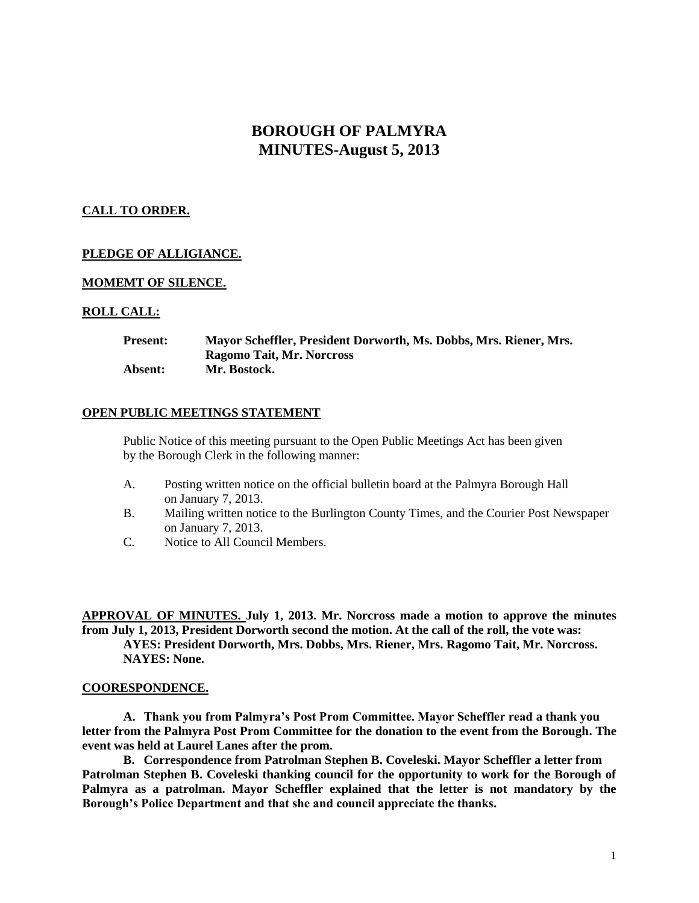# **BOROUGH OF PALMYRA MINUTES-August 5, 2013**

# **CALL TO ORDER.**

# **PLEDGE OF ALLIGIANCE.**

## **MOMEMT OF SILENCE.**

## **ROLL CALL:**

| <b>Present:</b> | Mayor Scheffler, President Dorworth, Ms. Dobbs, Mrs. Riener, Mrs. |
|-----------------|-------------------------------------------------------------------|
|                 | Ragomo Tait, Mr. Norcross                                         |
| Absent:         | Mr. Bostock.                                                      |

### **OPEN PUBLIC MEETINGS STATEMENT**

Public Notice of this meeting pursuant to the Open Public Meetings Act has been given by the Borough Clerk in the following manner:

- A. Posting written notice on the official bulletin board at the Palmyra Borough Hall on January 7, 2013.
- B. Mailing written notice to the Burlington County Times, and the Courier Post Newspaper on January 7, 2013.
- C. Notice to All Council Members.

**APPROVAL OF MINUTES. July 1, 2013. Mr. Norcross made a motion to approve the minutes from July 1, 2013, President Dorworth second the motion. At the call of the roll, the vote was: AYES: President Dorworth, Mrs. Dobbs, Mrs. Riener, Mrs. Ragomo Tait, Mr. Norcross. NAYES: None.**

#### **COORESPONDENCE.**

**A. Thank you from Palmyra's Post Prom Committee. Mayor Scheffler read a thank you letter from the Palmyra Post Prom Committee for the donation to the event from the Borough. The event was held at Laurel Lanes after the prom.**

**B. Correspondence from Patrolman Stephen B. Coveleski. Mayor Scheffler a letter from Patrolman Stephen B. Coveleski thanking council for the opportunity to work for the Borough of Palmyra as a patrolman. Mayor Scheffler explained that the letter is not mandatory by the Borough's Police Department and that she and council appreciate the thanks.**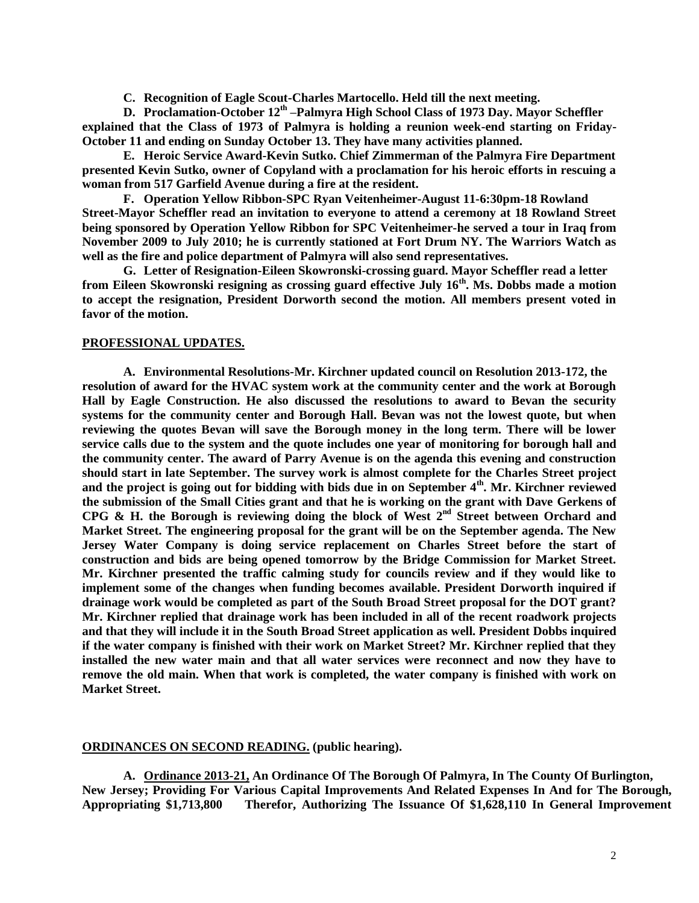**C. Recognition of Eagle Scout-Charles Martocello. Held till the next meeting.**

**D. Proclamation-October 12th –Palmyra High School Class of 1973 Day. Mayor Scheffler explained that the Class of 1973 of Palmyra is holding a reunion week-end starting on Friday-October 11 and ending on Sunday October 13. They have many activities planned.**

**E. Heroic Service Award-Kevin Sutko. Chief Zimmerman of the Palmyra Fire Department presented Kevin Sutko, owner of Copyland with a proclamation for his heroic efforts in rescuing a woman from 517 Garfield Avenue during a fire at the resident.** 

**F. Operation Yellow Ribbon-SPC Ryan Veitenheimer-August 11-6:30pm-18 Rowland Street-Mayor Scheffler read an invitation to everyone to attend a ceremony at 18 Rowland Street being sponsored by Operation Yellow Ribbon for SPC Veitenheimer-he served a tour in Iraq from November 2009 to July 2010; he is currently stationed at Fort Drum NY. The Warriors Watch as well as the fire and police department of Palmyra will also send representatives.** 

**G. Letter of Resignation-Eileen Skowronski-crossing guard. Mayor Scheffler read a letter from Eileen Skowronski resigning as crossing guard effective July 16th. Ms. Dobbs made a motion to accept the resignation, President Dorworth second the motion. All members present voted in favor of the motion.** 

#### **PROFESSIONAL UPDATES.**

**A. Environmental Resolutions-Mr. Kirchner updated council on Resolution 2013-172, the resolution of award for the HVAC system work at the community center and the work at Borough Hall by Eagle Construction. He also discussed the resolutions to award to Bevan the security systems for the community center and Borough Hall. Bevan was not the lowest quote, but when reviewing the quotes Bevan will save the Borough money in the long term. There will be lower service calls due to the system and the quote includes one year of monitoring for borough hall and the community center. The award of Parry Avenue is on the agenda this evening and construction should start in late September. The survey work is almost complete for the Charles Street project and the project is going out for bidding with bids due in on September 4th. Mr. Kirchner reviewed the submission of the Small Cities grant and that he is working on the grant with Dave Gerkens of CPG & H. the Borough is reviewing doing the block of West 2nd Street between Orchard and Market Street. The engineering proposal for the grant will be on the September agenda. The New Jersey Water Company is doing service replacement on Charles Street before the start of construction and bids are being opened tomorrow by the Bridge Commission for Market Street. Mr. Kirchner presented the traffic calming study for councils review and if they would like to implement some of the changes when funding becomes available. President Dorworth inquired if drainage work would be completed as part of the South Broad Street proposal for the DOT grant? Mr. Kirchner replied that drainage work has been included in all of the recent roadwork projects and that they will include it in the South Broad Street application as well. President Dobbs inquired if the water company is finished with their work on Market Street? Mr. Kirchner replied that they installed the new water main and that all water services were reconnect and now they have to remove the old main. When that work is completed, the water company is finished with work on Market Street.** 

#### **ORDINANCES ON SECOND READING. (public hearing).**

**A. Ordinance 2013-21, An Ordinance Of The Borough Of Palmyra, In The County Of Burlington, New Jersey; Providing For Various Capital Improvements And Related Expenses In And for The Borough, Appropriating \$1,713,800 Therefor, Authorizing The Issuance Of \$1,628,110 In General Improvement**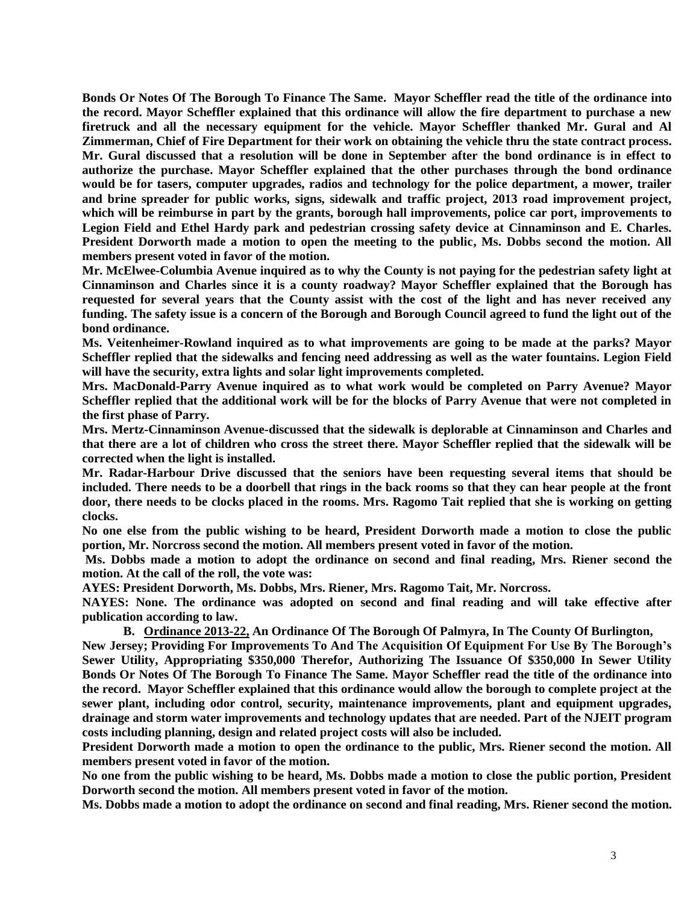**Bonds Or Notes Of The Borough To Finance The Same. Mayor Scheffler read the title of the ordinance into the record. Mayor Scheffler explained that this ordinance will allow the fire department to purchase a new firetruck and all the necessary equipment for the vehicle. Mayor Scheffler thanked Mr. Gural and Al Zimmerman, Chief of Fire Department for their work on obtaining the vehicle thru the state contract process. Mr. Gural discussed that a resolution will be done in September after the bond ordinance is in effect to authorize the purchase. Mayor Scheffler explained that the other purchases through the bond ordinance would be for tasers, computer upgrades, radios and technology for the police department, a mower, trailer and brine spreader for public works, signs, sidewalk and traffic project, 2013 road improvement project, which will be reimburse in part by the grants, borough hall improvements, police car port, improvements to Legion Field and Ethel Hardy park and pedestrian crossing safety device at Cinnaminson and E. Charles. President Dorworth made a motion to open the meeting to the public, Ms. Dobbs second the motion. All members present voted in favor of the motion.**

**Mr. McElwee-Columbia Avenue inquired as to why the County is not paying for the pedestrian safety light at Cinnaminson and Charles since it is a county roadway? Mayor Scheffler explained that the Borough has requested for several years that the County assist with the cost of the light and has never received any funding. The safety issue is a concern of the Borough and Borough Council agreed to fund the light out of the bond ordinance.** 

**Ms. Veitenheimer-Rowland inquired as to what improvements are going to be made at the parks? Mayor Scheffler replied that the sidewalks and fencing need addressing as well as the water fountains. Legion Field**  will have the security, extra lights and solar light improvements completed.

**Mrs. MacDonald-Parry Avenue inquired as to what work would be completed on Parry Avenue? Mayor Scheffler replied that the additional work will be for the blocks of Parry Avenue that were not completed in the first phase of Parry.** 

**Mrs. Mertz-Cinnaminson Avenue-discussed that the sidewalk is deplorable at Cinnaminson and Charles and that there are a lot of children who cross the street there. Mayor Scheffler replied that the sidewalk will be corrected when the light is installed.**

**Mr. Radar-Harbour Drive discussed that the seniors have been requesting several items that should be included. There needs to be a doorbell that rings in the back rooms so that they can hear people at the front door, there needs to be clocks placed in the rooms. Mrs. Ragomo Tait replied that she is working on getting clocks.** 

**No one else from the public wishing to be heard, President Dorworth made a motion to close the public portion, Mr. Norcross second the motion. All members present voted in favor of the motion.** 

**Ms. Dobbs made a motion to adopt the ordinance on second and final reading, Mrs. Riener second the motion. At the call of the roll, the vote was:**

**AYES: President Dorworth, Ms. Dobbs, Mrs. Riener, Mrs. Ragomo Tait, Mr. Norcross.**

**NAYES: None. The ordinance was adopted on second and final reading and will take effective after publication according to law.** 

**B. Ordinance 2013-22, An Ordinance Of The Borough Of Palmyra, In The County Of Burlington,**

**New Jersey; Providing For Improvements To And The Acquisition Of Equipment For Use By The Borough's Sewer Utility, Appropriating \$350,000 Therefor, Authorizing The Issuance Of \$350,000 In Sewer Utility Bonds Or Notes Of The Borough To Finance The Same. Mayor Scheffler read the title of the ordinance into the record. Mayor Scheffler explained that this ordinance would allow the borough to complete project at the sewer plant, including odor control, security, maintenance improvements, plant and equipment upgrades, drainage and storm water improvements and technology updates that are needed. Part of the NJEIT program costs including planning, design and related project costs will also be included.** 

**President Dorworth made a motion to open the ordinance to the public, Mrs. Riener second the motion. All members present voted in favor of the motion.** 

**No one from the public wishing to be heard, Ms. Dobbs made a motion to close the public portion, President Dorworth second the motion. All members present voted in favor of the motion.** 

**Ms. Dobbs made a motion to adopt the ordinance on second and final reading, Mrs. Riener second the motion.**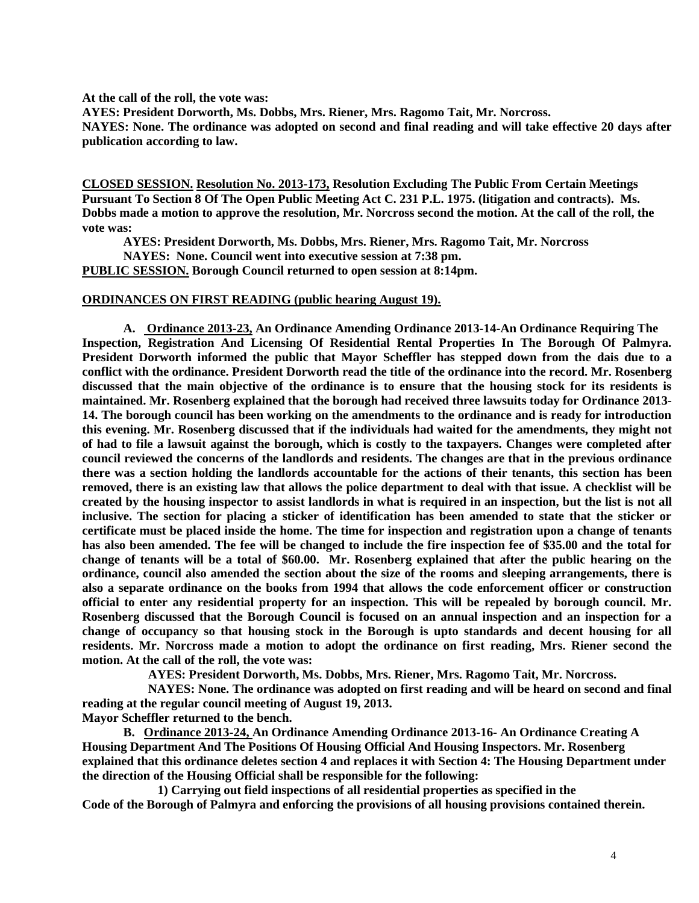**At the call of the roll, the vote was:**

**AYES: President Dorworth, Ms. Dobbs, Mrs. Riener, Mrs. Ragomo Tait, Mr. Norcross.**

**NAYES: None. The ordinance was adopted on second and final reading and will take effective 20 days after publication according to law.** 

**CLOSED SESSION. Resolution No. 2013-173, Resolution Excluding The Public From Certain Meetings Pursuant To Section 8 Of The Open Public Meeting Act C. 231 P.L. 1975. (litigation and contracts). Ms. Dobbs made a motion to approve the resolution, Mr. Norcross second the motion. At the call of the roll, the vote was:**

**AYES: President Dorworth, Ms. Dobbs, Mrs. Riener, Mrs. Ragomo Tait, Mr. Norcross**

**NAYES: None. Council went into executive session at 7:38 pm.**

**PUBLIC SESSION. Borough Council returned to open session at 8:14pm.**

#### **ORDINANCES ON FIRST READING (public hearing August 19).**

**A. Ordinance 2013-23, An Ordinance Amending Ordinance 2013-14-An Ordinance Requiring The Inspection, Registration And Licensing Of Residential Rental Properties In The Borough Of Palmyra. President Dorworth informed the public that Mayor Scheffler has stepped down from the dais due to a conflict with the ordinance. President Dorworth read the title of the ordinance into the record. Mr. Rosenberg discussed that the main objective of the ordinance is to ensure that the housing stock for its residents is maintained. Mr. Rosenberg explained that the borough had received three lawsuits today for Ordinance 2013- 14. The borough council has been working on the amendments to the ordinance and is ready for introduction this evening. Mr. Rosenberg discussed that if the individuals had waited for the amendments, they might not of had to file a lawsuit against the borough, which is costly to the taxpayers. Changes were completed after council reviewed the concerns of the landlords and residents. The changes are that in the previous ordinance there was a section holding the landlords accountable for the actions of their tenants, this section has been removed, there is an existing law that allows the police department to deal with that issue. A checklist will be created by the housing inspector to assist landlords in what is required in an inspection, but the list is not all inclusive. The section for placing a sticker of identification has been amended to state that the sticker or certificate must be placed inside the home. The time for inspection and registration upon a change of tenants has also been amended. The fee will be changed to include the fire inspection fee of \$35.00 and the total for change of tenants will be a total of \$60.00. Mr. Rosenberg explained that after the public hearing on the ordinance, council also amended the section about the size of the rooms and sleeping arrangements, there is also a separate ordinance on the books from 1994 that allows the code enforcement officer or construction official to enter any residential property for an inspection. This will be repealed by borough council. Mr. Rosenberg discussed that the Borough Council is focused on an annual inspection and an inspection for a change of occupancy so that housing stock in the Borough is upto standards and decent housing for all residents. Mr. Norcross made a motion to adopt the ordinance on first reading, Mrs. Riener second the motion. At the call of the roll, the vote was:**

 **AYES: President Dorworth, Ms. Dobbs, Mrs. Riener, Mrs. Ragomo Tait, Mr. Norcross.**

 **NAYES: None. The ordinance was adopted on first reading and will be heard on second and final reading at the regular council meeting of August 19, 2013.**

**Mayor Scheffler returned to the bench.**

**B. Ordinance 2013-24, An Ordinance Amending Ordinance 2013-16- An Ordinance Creating A Housing Department And The Positions Of Housing Official And Housing Inspectors. Mr. Rosenberg explained that this ordinance deletes section 4 and replaces it with Section 4: The Housing Department under the direction of the Housing Official shall be responsible for the following:**

 **1) Carrying out field inspections of all residential properties as specified in the Code of the Borough of Palmyra and enforcing the provisions of all housing provisions contained therein.**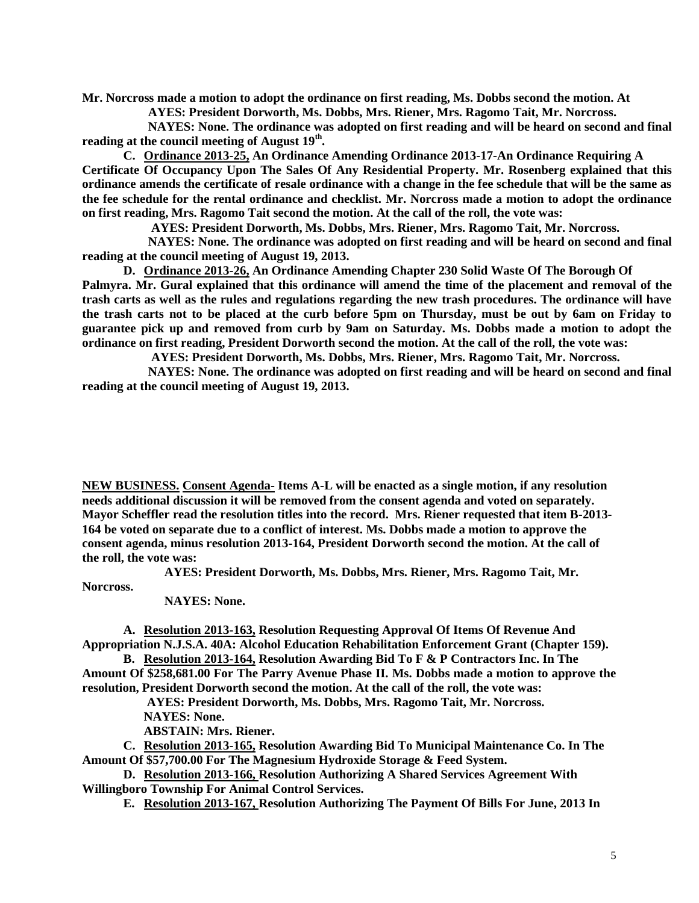**Mr. Norcross made a motion to adopt the ordinance on first reading, Ms. Dobbs second the motion. At** 

 **AYES: President Dorworth, Ms. Dobbs, Mrs. Riener, Mrs. Ragomo Tait, Mr. Norcross.**

 **NAYES: None. The ordinance was adopted on first reading and will be heard on second and final reading at the council meeting of August 19th .** 

**C. Ordinance 2013-25, An Ordinance Amending Ordinance 2013-17-An Ordinance Requiring A Certificate Of Occupancy Upon The Sales Of Any Residential Property. Mr. Rosenberg explained that this ordinance amends the certificate of resale ordinance with a change in the fee schedule that will be the same as the fee schedule for the rental ordinance and checklist. Mr. Norcross made a motion to adopt the ordinance on first reading, Mrs. Ragomo Tait second the motion. At the call of the roll, the vote was:**

 **AYES: President Dorworth, Ms. Dobbs, Mrs. Riener, Mrs. Ragomo Tait, Mr. Norcross.**

 **NAYES: None. The ordinance was adopted on first reading and will be heard on second and final reading at the council meeting of August 19, 2013.** 

**D. Ordinance 2013-26, An Ordinance Amending Chapter 230 Solid Waste Of The Borough Of Palmyra. Mr. Gural explained that this ordinance will amend the time of the placement and removal of the trash carts as well as the rules and regulations regarding the new trash procedures. The ordinance will have the trash carts not to be placed at the curb before 5pm on Thursday, must be out by 6am on Friday to guarantee pick up and removed from curb by 9am on Saturday. Ms. Dobbs made a motion to adopt the ordinance on first reading, President Dorworth second the motion. At the call of the roll, the vote was:**

 **AYES: President Dorworth, Ms. Dobbs, Mrs. Riener, Mrs. Ragomo Tait, Mr. Norcross.**

 **NAYES: None. The ordinance was adopted on first reading and will be heard on second and final reading at the council meeting of August 19, 2013.** 

**NEW BUSINESS. Consent Agenda- Items A-L will be enacted as a single motion, if any resolution needs additional discussion it will be removed from the consent agenda and voted on separately. Mayor Scheffler read the resolution titles into the record. Mrs. Riener requested that item B-2013- 164 be voted on separate due to a conflict of interest. Ms. Dobbs made a motion to approve the consent agenda, minus resolution 2013-164, President Dorworth second the motion. At the call of the roll, the vote was:**

**AYES: President Dorworth, Ms. Dobbs, Mrs. Riener, Mrs. Ragomo Tait, Mr.** 

**Norcross.**

**NAYES: None.**

**A. Resolution 2013-163, Resolution Requesting Approval Of Items Of Revenue And Appropriation N.J.S.A. 40A: Alcohol Education Rehabilitation Enforcement Grant (Chapter 159).**

**B. Resolution 2013-164, Resolution Awarding Bid To F & P Contractors Inc. In The Amount Of \$258,681.00 For The Parry Avenue Phase II. Ms. Dobbs made a motion to approve the resolution, President Dorworth second the motion. At the call of the roll, the vote was:**

**AYES: President Dorworth, Ms. Dobbs, Mrs. Ragomo Tait, Mr. Norcross. NAYES: None.**

**ABSTAIN: Mrs. Riener.**

**C. Resolution 2013-165, Resolution Awarding Bid To Municipal Maintenance Co. In The Amount Of \$57,700.00 For The Magnesium Hydroxide Storage & Feed System.** 

**D. Resolution 2013-166, Resolution Authorizing A Shared Services Agreement With Willingboro Township For Animal Control Services.**

**E. Resolution 2013-167, Resolution Authorizing The Payment Of Bills For June, 2013 In**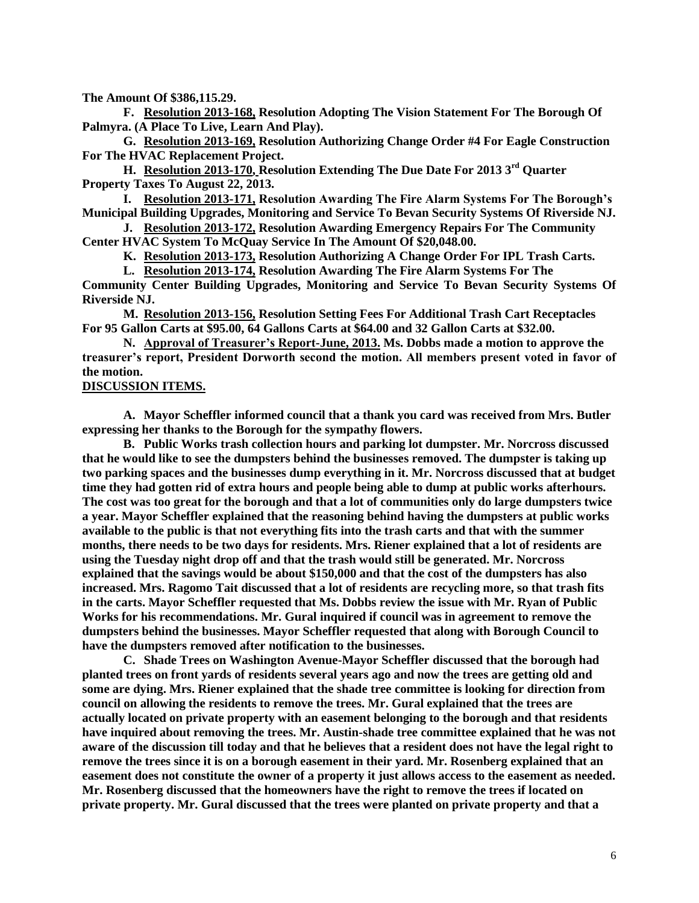**The Amount Of \$386,115.29.**

**F. Resolution 2013-168, Resolution Adopting The Vision Statement For The Borough Of Palmyra. (A Place To Live, Learn And Play).**

**G. Resolution 2013-169, Resolution Authorizing Change Order #4 For Eagle Construction For The HVAC Replacement Project.**

**H. Resolution 2013-170, Resolution Extending The Due Date For 2013 3rd Quarter Property Taxes To August 22, 2013.** 

**I. Resolution 2013-171, Resolution Awarding The Fire Alarm Systems For The Borough's Municipal Building Upgrades, Monitoring and Service To Bevan Security Systems Of Riverside NJ.**

**J. Resolution 2013-172, Resolution Awarding Emergency Repairs For The Community Center HVAC System To McQuay Service In The Amount Of \$20,048.00.**

**K. Resolution 2013-173, Resolution Authorizing A Change Order For IPL Trash Carts.**

**L. Resolution 2013-174, Resolution Awarding The Fire Alarm Systems For The**

**Community Center Building Upgrades, Monitoring and Service To Bevan Security Systems Of Riverside NJ.**

**M. Resolution 2013-156, Resolution Setting Fees For Additional Trash Cart Receptacles For 95 Gallon Carts at \$95.00, 64 Gallons Carts at \$64.00 and 32 Gallon Carts at \$32.00.**

**N. Approval of Treasurer's Report-June, 2013. Ms. Dobbs made a motion to approve the treasurer's report, President Dorworth second the motion. All members present voted in favor of the motion.** 

#### **DISCUSSION ITEMS.**

**A. Mayor Scheffler informed council that a thank you card was received from Mrs. Butler expressing her thanks to the Borough for the sympathy flowers.**

**B. Public Works trash collection hours and parking lot dumpster. Mr. Norcross discussed that he would like to see the dumpsters behind the businesses removed. The dumpster is taking up two parking spaces and the businesses dump everything in it. Mr. Norcross discussed that at budget time they had gotten rid of extra hours and people being able to dump at public works afterhours. The cost was too great for the borough and that a lot of communities only do large dumpsters twice a year. Mayor Scheffler explained that the reasoning behind having the dumpsters at public works available to the public is that not everything fits into the trash carts and that with the summer months, there needs to be two days for residents. Mrs. Riener explained that a lot of residents are using the Tuesday night drop off and that the trash would still be generated. Mr. Norcross explained that the savings would be about \$150,000 and that the cost of the dumpsters has also increased. Mrs. Ragomo Tait discussed that a lot of residents are recycling more, so that trash fits in the carts. Mayor Scheffler requested that Ms. Dobbs review the issue with Mr. Ryan of Public Works for his recommendations. Mr. Gural inquired if council was in agreement to remove the dumpsters behind the businesses. Mayor Scheffler requested that along with Borough Council to have the dumpsters removed after notification to the businesses.**

**C. Shade Trees on Washington Avenue-Mayor Scheffler discussed that the borough had planted trees on front yards of residents several years ago and now the trees are getting old and some are dying. Mrs. Riener explained that the shade tree committee is looking for direction from council on allowing the residents to remove the trees. Mr. Gural explained that the trees are actually located on private property with an easement belonging to the borough and that residents have inquired about removing the trees. Mr. Austin-shade tree committee explained that he was not aware of the discussion till today and that he believes that a resident does not have the legal right to remove the trees since it is on a borough easement in their yard. Mr. Rosenberg explained that an easement does not constitute the owner of a property it just allows access to the easement as needed. Mr. Rosenberg discussed that the homeowners have the right to remove the trees if located on private property. Mr. Gural discussed that the trees were planted on private property and that a**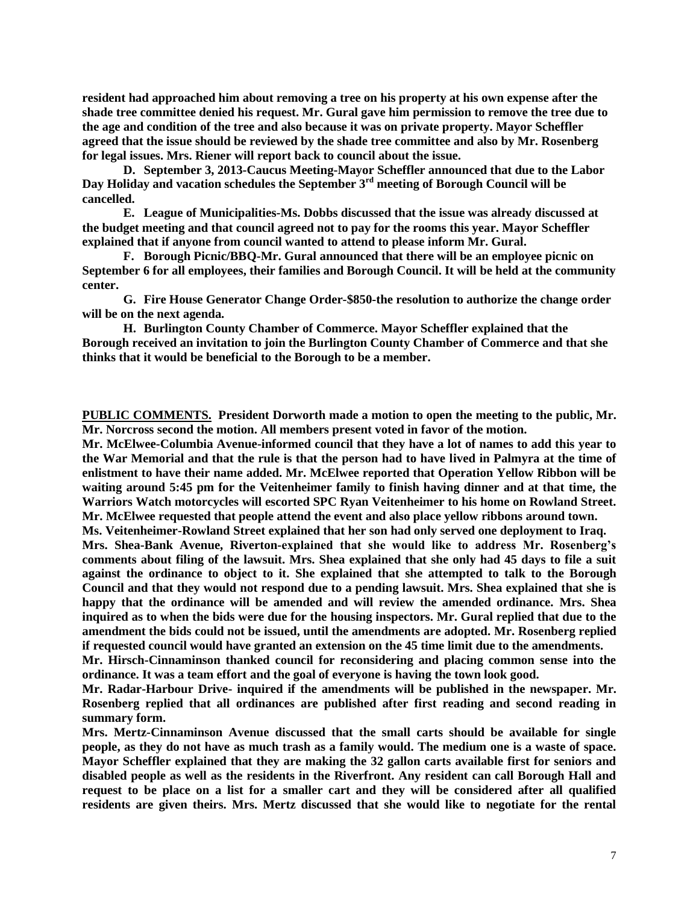**resident had approached him about removing a tree on his property at his own expense after the shade tree committee denied his request. Mr. Gural gave him permission to remove the tree due to the age and condition of the tree and also because it was on private property. Mayor Scheffler agreed that the issue should be reviewed by the shade tree committee and also by Mr. Rosenberg for legal issues. Mrs. Riener will report back to council about the issue.**

**D. September 3, 2013-Caucus Meeting-Mayor Scheffler announced that due to the Labor Day Holiday and vacation schedules the September 3rd meeting of Borough Council will be cancelled.** 

**E. League of Municipalities-Ms. Dobbs discussed that the issue was already discussed at the budget meeting and that council agreed not to pay for the rooms this year. Mayor Scheffler explained that if anyone from council wanted to attend to please inform Mr. Gural.**

**F. Borough Picnic/BBQ-Mr. Gural announced that there will be an employee picnic on September 6 for all employees, their families and Borough Council. It will be held at the community center.**

**G. Fire House Generator Change Order-\$850-the resolution to authorize the change order will be on the next agenda.**

**H. Burlington County Chamber of Commerce. Mayor Scheffler explained that the Borough received an invitation to join the Burlington County Chamber of Commerce and that she thinks that it would be beneficial to the Borough to be a member.** 

**PUBLIC COMMENTS. President Dorworth made a motion to open the meeting to the public, Mr. Mr. Norcross second the motion. All members present voted in favor of the motion.**

**Mr. McElwee-Columbia Avenue-informed council that they have a lot of names to add this year to the War Memorial and that the rule is that the person had to have lived in Palmyra at the time of enlistment to have their name added. Mr. McElwee reported that Operation Yellow Ribbon will be waiting around 5:45 pm for the Veitenheimer family to finish having dinner and at that time, the Warriors Watch motorcycles will escorted SPC Ryan Veitenheimer to his home on Rowland Street. Mr. McElwee requested that people attend the event and also place yellow ribbons around town.** 

**Ms. Veitenheimer-Rowland Street explained that her son had only served one deployment to Iraq.** 

**Mrs. Shea-Bank Avenue, Riverton-explained that she would like to address Mr. Rosenberg's comments about filing of the lawsuit. Mrs. Shea explained that she only had 45 days to file a suit against the ordinance to object to it. She explained that she attempted to talk to the Borough Council and that they would not respond due to a pending lawsuit. Mrs. Shea explained that she is happy that the ordinance will be amended and will review the amended ordinance. Mrs. Shea inquired as to when the bids were due for the housing inspectors. Mr. Gural replied that due to the amendment the bids could not be issued, until the amendments are adopted. Mr. Rosenberg replied if requested council would have granted an extension on the 45 time limit due to the amendments.** 

**Mr. Hirsch-Cinnaminson thanked council for reconsidering and placing common sense into the ordinance. It was a team effort and the goal of everyone is having the town look good.**

**Mr. Radar-Harbour Drive- inquired if the amendments will be published in the newspaper. Mr. Rosenberg replied that all ordinances are published after first reading and second reading in summary form.**

**Mrs. Mertz-Cinnaminson Avenue discussed that the small carts should be available for single people, as they do not have as much trash as a family would. The medium one is a waste of space. Mayor Scheffler explained that they are making the 32 gallon carts available first for seniors and disabled people as well as the residents in the Riverfront. Any resident can call Borough Hall and request to be place on a list for a smaller cart and they will be considered after all qualified residents are given theirs. Mrs. Mertz discussed that she would like to negotiate for the rental**